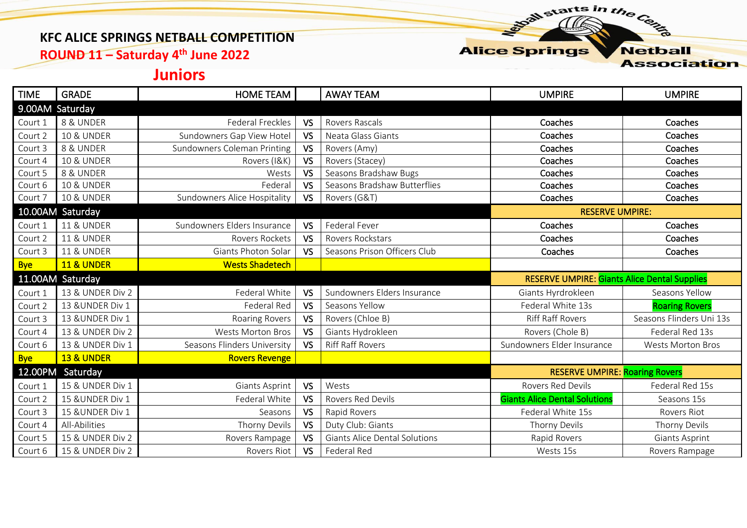### **KFC ALICE SPRINGS NETBALL COMPETITION**

**ROUND 11 – Saturday 4 th June 2022**

**Alice Springs Netball** 

starts in the Centre

**Association** 

# **Juniors**

| <b>TIME</b>      | <b>GRADE</b>          | HOME TEAM                    |           | <b>AWAY TEAM</b>                     | <b>UMPIRE</b>                                       | <b>UMPIRE</b>            |
|------------------|-----------------------|------------------------------|-----------|--------------------------------------|-----------------------------------------------------|--------------------------|
|                  | 9.00AM Saturday       |                              |           |                                      |                                                     |                          |
| Court 1          | 8 & UNDER             | <b>Federal Freckles</b>      | <b>VS</b> | Rovers Rascals                       | Coaches                                             | Coaches                  |
| Court 2          | <b>10 &amp; UNDER</b> | Sundowners Gap View Hotel    | <b>VS</b> | Neata Glass Giants                   | Coaches                                             | Coaches                  |
| Court 3          | 8 & UNDER             | Sundowners Coleman Printing  | <b>VS</b> | Rovers (Amy)                         | Coaches                                             | Coaches                  |
| Court 4          | <b>10 &amp; UNDER</b> | Rovers (I&K)                 | <b>VS</b> | Rovers (Stacey)                      | Coaches                                             | Coaches                  |
| Court 5          | 8 & UNDER             | Wests                        | <b>VS</b> | Seasons Bradshaw Bugs                | Coaches                                             | Coaches                  |
| Court 6          | <b>10 &amp; UNDER</b> | Federal                      | <b>VS</b> | Seasons Bradshaw Butterflies         | Coaches                                             | Coaches                  |
| Court 7          | <b>10 &amp; UNDER</b> | Sundowners Alice Hospitality | <b>VS</b> | Rovers (G&T)                         | Coaches                                             | Coaches                  |
|                  | 10.00AM Saturday      |                              |           | <b>RESERVE UMPIRE:</b>               |                                                     |                          |
| Court 1          | <b>11 &amp; UNDER</b> | Sundowners Elders Insurance  | <b>VS</b> | Federal Fever                        | Coaches                                             | Coaches                  |
| Court 2          | <b>11 &amp; UNDER</b> | Rovers Rockets               | <b>VS</b> | Rovers Rockstars                     | Coaches                                             | Coaches                  |
| Court 3          | <b>11 &amp; UNDER</b> | Giants Photon Solar          | <b>VS</b> | Seasons Prison Officers Club         | Coaches                                             | Coaches                  |
| <b>Bye</b>       | <b>11 &amp; UNDER</b> | <b>Wests Shadetech</b>       |           |                                      |                                                     |                          |
| 11.00AM Saturday |                       |                              |           |                                      |                                                     |                          |
|                  |                       |                              |           |                                      | <b>RESERVE UMPIRE: Giants Alice Dental Supplies</b> |                          |
| Court 1          | 13 & UNDER Div 2      | Federal White                | <b>VS</b> | Sundowners Elders Insurance          | Giants Hyrdrokleen                                  | Seasons Yellow           |
| Court 2          | 13 & UNDER Div 1      | Federal Red                  | <b>VS</b> | Seasons Yellow                       | Federal White 13s                                   | <b>Roaring Rovers</b>    |
| Court 3          | 13 & UNDER Div 1      | Roaring Rovers               | <b>VS</b> | Rovers (Chloe B)                     | <b>Riff Raff Rovers</b>                             | Seasons Flinders Uni 13s |
| Court 4          | 13 & UNDER Div 2      | <b>Wests Morton Bros</b>     | <b>VS</b> | Giants Hydrokleen                    | Rovers (Chole B)                                    | Federal Red 13s          |
| Court 6          | 13 & UNDER Div 1      | Seasons Flinders University  | <b>VS</b> | <b>Riff Raff Rovers</b>              | Sundowners Elder Insurance                          | <b>Wests Morton Bros</b> |
| <b>Bye</b>       | <b>13 &amp; UNDER</b> | <b>Rovers Revenge</b>        |           |                                      |                                                     |                          |
| 12.00PM          | Saturday              |                              |           |                                      | <b>RESERVE UMPIRE: Roaring Rovers</b>               |                          |
| Court 1          | 15 & UNDER Div 1      | Giants Asprint               | VS        | Wests                                | <b>Rovers Red Devils</b>                            | Federal Red 15s          |
| Court 2          | 15 & UNDER Div 1      | Federal White                | <b>VS</b> | <b>Rovers Red Devils</b>             | <b>Giants Alice Dental Solutions</b>                | Seasons 15s              |
| Court 3          | 15 & UNDER Div 1      | Seasons                      | <b>VS</b> | Rapid Rovers                         | Federal White 15s                                   | Rovers Riot              |
| Court 4          | All-Abilities         | Thorny Devils                | <b>VS</b> | Duty Club: Giants                    | Thorny Devils                                       | Thorny Devils            |
| Court 5          | 15 & UNDER Div 2      | Rovers Rampage               | <b>VS</b> | <b>Giants Alice Dental Solutions</b> | Rapid Rovers                                        | Giants Asprint           |